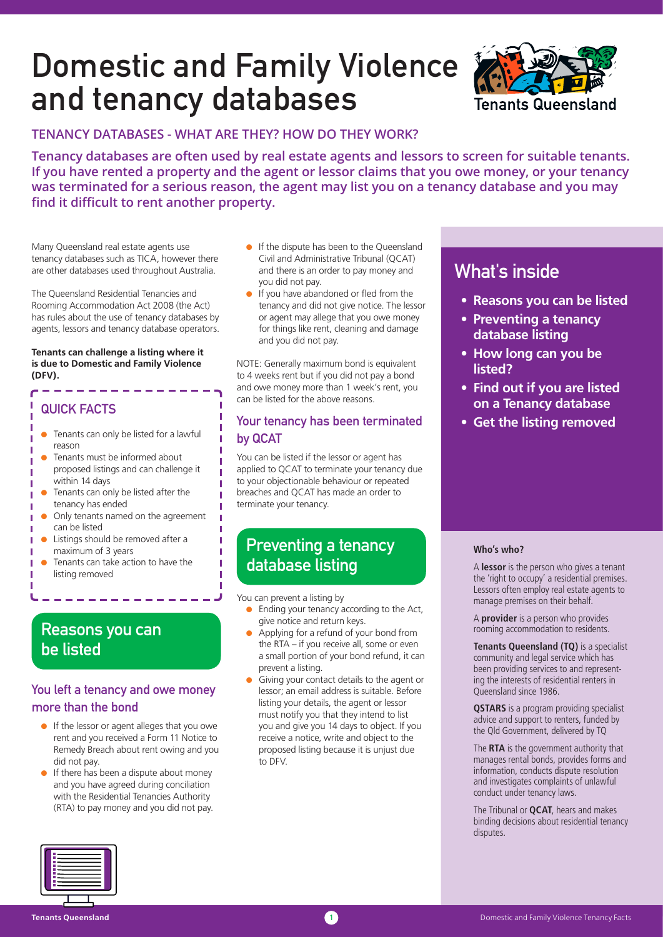# Domestic and Family Violence and tenancy databases



### **TENANCY DATABASES - WHAT ARE THEY? HOW DO THEY WORK?**

**Tenancy databases are often used by real estate agents and lessors to screen for suitable tenants. If you have rented a property and the agent or lessor claims that you owe money, or your tenancy was terminated for a serious reason, the agent may list you on a tenancy database and you may find it difficult to rent another property.**

Many Queensland real estate agents use tenancy databases such as TICA, however there are other databases used throughout Australia.

The Queensland Residential Tenancies and Rooming Accommodation Act 2008 (the Act) has rules about the use of tenancy databases by agents, lessors and tenancy database operators.

#### **Tenants can challenge a listing where it is due to Domestic and Family Violence (DFV).**

### QUICK FACTS

Ē

п

п п ı п п

- $\bullet$  Tenants can only be listed for a lawful reason
- Tenants must be informed about proposed listings and can challenge it within 14 days
- Tenants can only be listed after the tenancy has ended
- Only tenants named on the agreement can be listed
- Listings should be removed after a maximum of 3 years
- Tenants can take action to have the listing removed

### Reasons you can be listed

### You left a tenancy and owe money more than the bond

- If the lessor or agent alleges that you owe rent and you received a Form 11 Notice to Remedy Breach about rent owing and you did not pay.
- $\bullet$  If there has been a dispute about money and you have agreed during conciliation with the Residential Tenancies Authority (RTA) to pay money and you did not pay.
- If the dispute has been to the Queensland Civil and Administrative Tribunal (QCAT) and there is an order to pay money and you did not pay.
- If you have abandoned or fled from the tenancy and did not give notice. The lessor or agent may allege that you owe money for things like rent, cleaning and damage and you did not pay.

NOTE: Generally maximum bond is equivalent to 4 weeks rent but if you did not pay a bond and owe money more than 1 week's rent, you can be listed for the above reasons.

### Your tenancy has been terminated by QCAT

You can be listed if the lessor or agent has applied to QCAT to terminate your tenancy due to your objectionable behaviour or repeated breaches and QCAT has made an order to terminate your tenancy.

## Preventing a tenancy database listing

You can prevent a listing by

- $\bullet$  Ending your tenancy according to the Act, give notice and return keys.
- Applying for a refund of your bond from the RTA – if you receive all, some or even a small portion of your bond refund, it can prevent a listing.
- Giving your contact details to the agent or lessor; an email address is suitable. Before listing your details, the agent or lessor must notify you that they intend to list you and give you 14 days to object. If you receive a notice, write and object to the proposed listing because it is unjust due to DFV.

# What's inside

- **Reasons you can be listed**
- **Preventing a tenancy database listing**
- **How long can you be listed?**
- **Find out if you are listed on a Tenancy database**
- **Get the listing removed**

#### **Who's who?**

A **lessor** is the person who gives a tenant the 'right to occupy' a residential premises. Lessors often employ real estate agents to manage premises on their behalf.

A **provider** is a person who provides rooming accommodation to residents.

**Tenants Queensland (TQ)** is a specialist community and legal service which has been providing services to and representing the interests of residential renters in Queensland since 1986.

**QSTARS** is a program providing specialist advice and support to renters, funded by the Qld Government, delivered by TQ

The **RTA** is the government authority that manages rental bonds, provides forms and information, conducts dispute resolution and investigates complaints of unlawful conduct under tenancy laws.

The Tribunal or **QCAT**, hears and makes binding decisions about residential tenancy disputes.